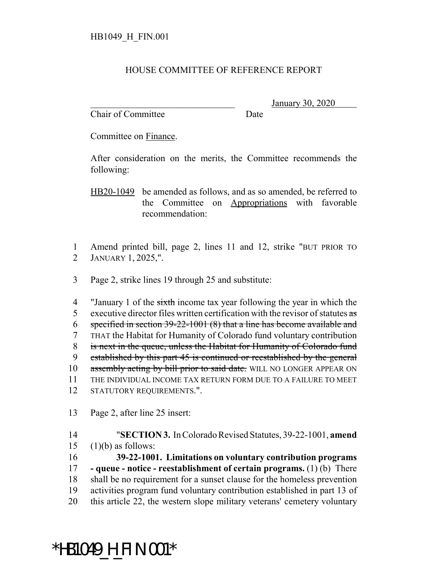## HOUSE COMMITTEE OF REFERENCE REPORT

Chair of Committee Date

\_\_\_\_\_\_\_\_\_\_\_\_\_\_\_\_\_\_\_\_\_\_\_\_\_\_\_\_\_\_\_ January 30, 2020

Committee on Finance.

After consideration on the merits, the Committee recommends the following:

HB20-1049 be amended as follows, and as so amended, be referred to the Committee on Appropriations with favorable recommendation:

1 Amend printed bill, page 2, lines 11 and 12, strike "BUT PRIOR TO 2 JANUARY 1, 2025,".

3 Page 2, strike lines 19 through 25 and substitute:

4 "January 1 of the sixth income tax year following the year in which the 5 executive director files written certification with the revisor of statutes  $\frac{1}{3}$  specified in section 39-22-1001 (8) that a line has become available and THAT the Habitat for Humanity of Colorado fund voluntary contribution is next in the queue, unless the Habitat for Humanity of Colorado fund established by this part 45 is continued or reestablished by the general 10 assembly acting by bill prior to said date. WILL NO LONGER APPEAR ON THE INDIVIDUAL INCOME TAX RETURN FORM DUE TO A FAILURE TO MEET STATUTORY REQUIREMENTS.".

13 Page 2, after line 25 insert:

14 "**SECTION 3.** In Colorado Revised Statutes, 39-22-1001, **amend**  $15$  (1)(b) as follows: 16 **39-22-1001. Limitations on voluntary contribution programs**

 **- queue - notice - reestablishment of certain programs.** (1) (b) There shall be no requirement for a sunset clause for the homeless prevention activities program fund voluntary contribution established in part 13 of this article 22, the western slope military veterans' cemetery voluntary

## \*HB1049\_H\_FIN.001\*